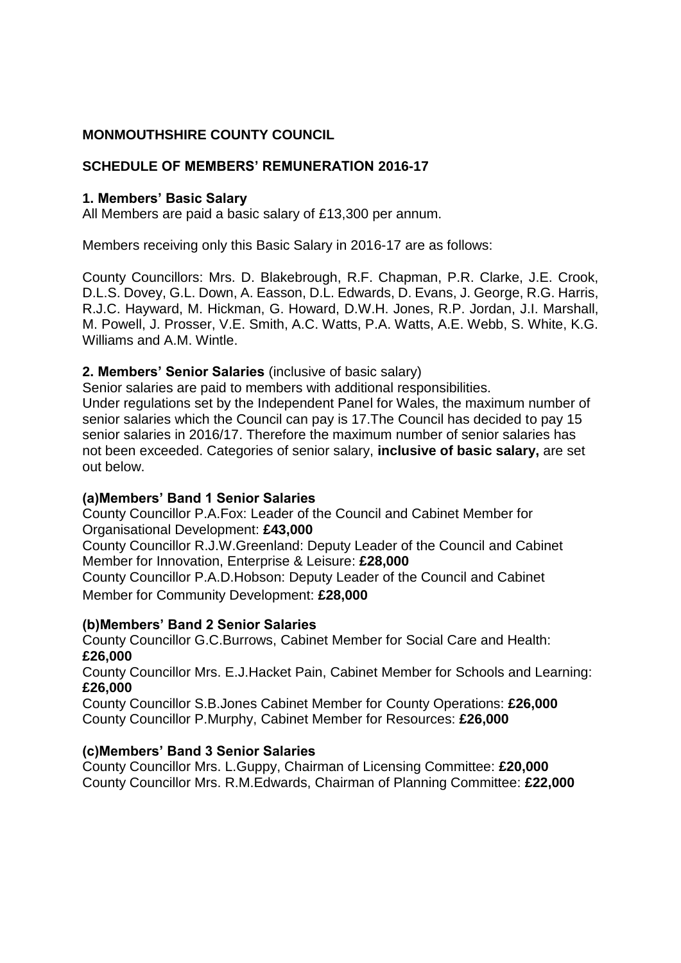### **MONMOUTHSHIRE COUNTY COUNCIL**

#### **SCHEDULE OF MEMBERS' REMUNERATION 2016-17**

#### **1. Members' Basic Salary**

All Members are paid a basic salary of £13,300 per annum.

Members receiving only this Basic Salary in 2016-17 are as follows:

County Councillors: Mrs. D. Blakebrough, R.F. Chapman, P.R. Clarke, J.E. Crook, D.L.S. Dovey, G.L. Down, A. Easson, D.L. Edwards, D. Evans, J. George, R.G. Harris, R.J.C. Hayward, M. Hickman, G. Howard, D.W.H. Jones, R.P. Jordan, J.I. Marshall, M. Powell, J. Prosser, V.E. Smith, A.C. Watts, P.A. Watts, A.E. Webb, S. White, K.G. Williams and A.M. Wintle.

#### **2. Members' Senior Salaries** (inclusive of basic salary)

Senior salaries are paid to members with additional responsibilities. Under regulations set by the Independent Panel for Wales, the maximum number of senior salaries which the Council can pay is 17.The Council has decided to pay 15 senior salaries in 2016/17. Therefore the maximum number of senior salaries has not been exceeded. Categories of senior salary, **inclusive of basic salary,** are set out below.

#### **(a)Members' Band 1 Senior Salaries**

County Councillor P.A.Fox: Leader of the Council and Cabinet Member for Organisational Development: **£43,000**

County Councillor R.J.W.Greenland: Deputy Leader of the Council and Cabinet Member for Innovation, Enterprise & Leisure: **£28,000**

County Councillor P.A.D.Hobson: Deputy Leader of the Council and Cabinet Member for Community Development: **£28,000**

#### **(b)Members' Band 2 Senior Salaries**

County Councillor G.C.Burrows, Cabinet Member for Social Care and Health: **£26,000**

County Councillor Mrs. E.J.Hacket Pain, Cabinet Member for Schools and Learning: **£26,000**

County Councillor S.B.Jones Cabinet Member for County Operations: **£26,000** County Councillor P.Murphy, Cabinet Member for Resources: **£26,000**

#### **(c)Members' Band 3 Senior Salaries**

County Councillor Mrs. L.Guppy, Chairman of Licensing Committee: **£20,000** County Councillor Mrs. R.M.Edwards, Chairman of Planning Committee: **£22,000**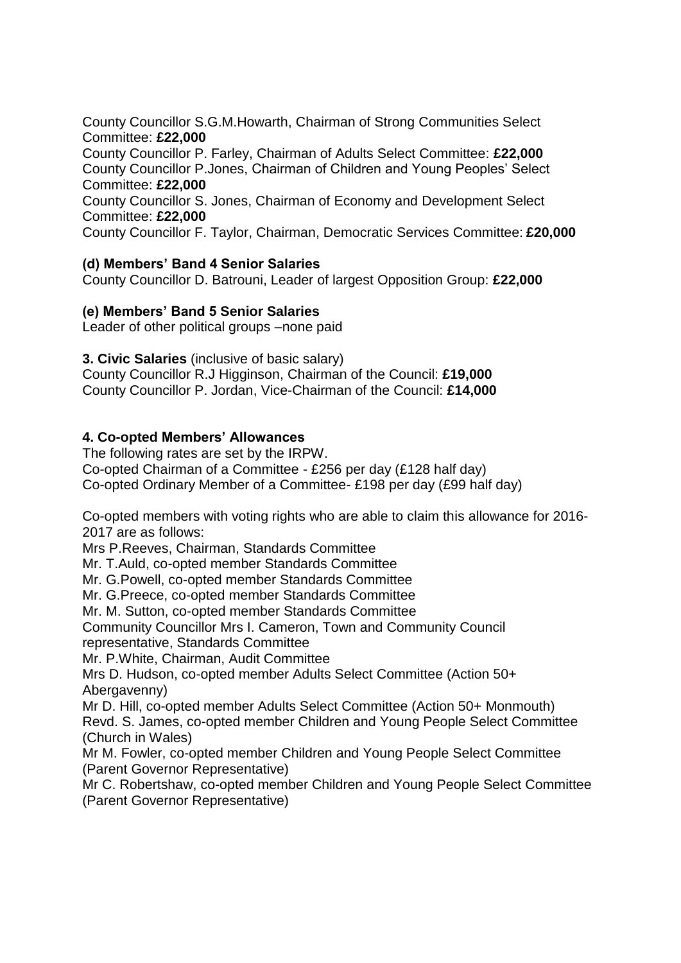County Councillor S.G.M.Howarth, Chairman of Strong Communities Select Committee: **£22,000**

County Councillor P. Farley, Chairman of Adults Select Committee: **£22,000** County Councillor P.Jones, Chairman of Children and Young Peoples' Select Committee: **£22,000**

County Councillor S. Jones, Chairman of Economy and Development Select Committee: **£22,000**

County Councillor F. Taylor, Chairman, Democratic Services Committee: **£20,000**

#### **(d) Members' Band 4 Senior Salaries**

County Councillor D. Batrouni, Leader of largest Opposition Group: **£22,000**

#### **(e) Members' Band 5 Senior Salaries**

Leader of other political groups –none paid

#### **3. Civic Salaries** (inclusive of basic salary)

County Councillor R.J Higginson, Chairman of the Council: **£19,000** County Councillor P. Jordan, Vice-Chairman of the Council: **£14,000**

#### **4. Co-opted Members' Allowances**

The following rates are set by the IRPW. Co-opted Chairman of a Committee - £256 per day (£128 half day) Co-opted Ordinary Member of a Committee- £198 per day (£99 half day)

Co-opted members with voting rights who are able to claim this allowance for 2016- 2017 are as follows:

Mrs P.Reeves, Chairman, Standards Committee

Mr. T.Auld, co-opted member Standards Committee

Mr. G.Powell, co-opted member Standards Committee

Mr. G.Preece, co-opted member Standards Committee

Mr. M. Sutton, co-opted member Standards Committee

Community Councillor Mrs I. Cameron, Town and Community Council

representative, Standards Committee

Mr. P.White, Chairman, Audit Committee

Mrs D. Hudson, co-opted member Adults Select Committee (Action 50+ Abergavenny)

Mr D. Hill, co-opted member Adults Select Committee (Action 50+ Monmouth) Revd. S. James, co-opted member Children and Young People Select Committee (Church in Wales)

Mr M. Fowler, co-opted member Children and Young People Select Committee (Parent Governor Representative)

Mr C. Robertshaw, co-opted member Children and Young People Select Committee (Parent Governor Representative)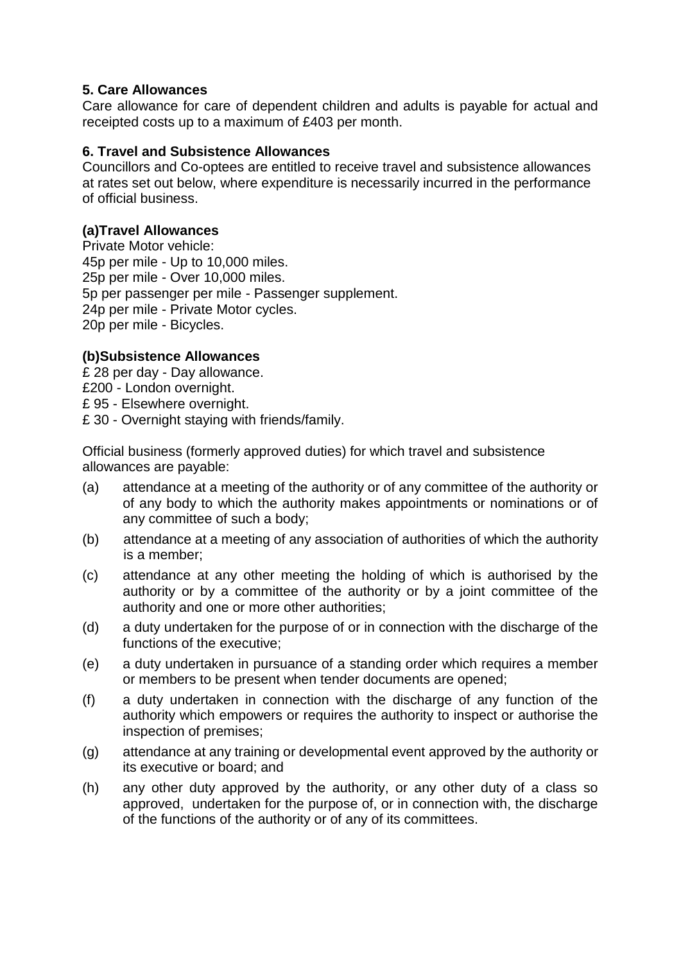#### **5. Care Allowances**

Care allowance for care of dependent children and adults is payable for actual and receipted costs up to a maximum of £403 per month.

#### **6. Travel and Subsistence Allowances**

Councillors and Co-optees are entitled to receive travel and subsistence allowances at rates set out below, where expenditure is necessarily incurred in the performance of official business.

#### **(a)Travel Allowances**

Private Motor vehicle: 45p per mile - Up to 10,000 miles. 25p per mile - Over 10,000 miles. 5p per passenger per mile - Passenger supplement. 24p per mile - Private Motor cycles. 20p per mile - Bicycles.

### **(b)Subsistence Allowances**

- £ 28 per day Day allowance.
- £200 London overnight.
- £ 95 Elsewhere overnight.
- £ 30 Overnight staying with friends/family.

Official business (formerly approved duties) for which travel and subsistence allowances are payable:

- (a) attendance at a meeting of the authority or of any committee of the authority or of any body to which the authority makes appointments or nominations or of any committee of such a body;
- (b) attendance at a meeting of any association of authorities of which the authority is a member;
- (c) attendance at any other meeting the holding of which is authorised by the authority or by a committee of the authority or by a joint committee of the authority and one or more other authorities;
- (d) a duty undertaken for the purpose of or in connection with the discharge of the functions of the executive;
- (e) a duty undertaken in pursuance of a standing order which requires a member or members to be present when tender documents are opened;
- (f) a duty undertaken in connection with the discharge of any function of the authority which empowers or requires the authority to inspect or authorise the inspection of premises;
- (g) attendance at any training or developmental event approved by the authority or its executive or board; and
- (h) any other duty approved by the authority, or any other duty of a class so approved, undertaken for the purpose of, or in connection with, the discharge of the functions of the authority or of any of its committees.